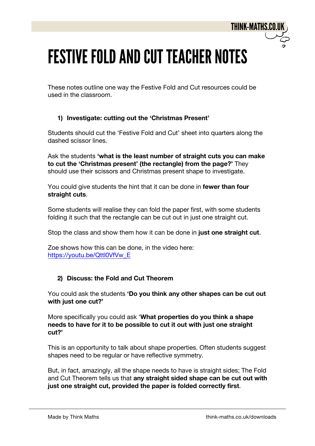# **FESTIVE FOLD AND CUT TEACHER NOTES**

These notes outline one way the Festive Fold and Cut resources could be used in the classroom.

### **1) Investigate: cutting out the 'Christmas Present'**

Students should cut the 'Festive Fold and Cut' sheet into quarters along the dashed scissor lines.

Ask the students **'what is the least number of straight cuts you can make to cut the 'Christmas present' (the rectangle) from the page?'** They should use their scissors and Christmas present shape to investigate.

You could give students the hint that it can be done in **fewer than four straight cuts**.

Some students will realise they can fold the paper first, with some students folding it such that the rectangle can be cut out in just one straight cut.

Stop the class and show them how it can be done in **just one straight cut**.

Zoe shows how this can be done, in the video here: https://youtu.be/Qttl0VfVw\_E

### **2) Discuss: the Fold and Cut Theorem**

You could ask the students **'Do you think any other shapes can be cut out with just one cut?'**

More specifically you could ask '**What properties do you think a shape needs to have for it to be possible to cut it out with just one straight cut?'**

This is an opportunity to talk about shape properties. Often students suggest shapes need to be regular or have reflective symmetry.

But, in fact, amazingly, all the shape needs to have is straight sides; The Fold and Cut Theorem tells us that **any straight sided shape can be cut out with just one straight cut, provided the paper is folded correctly first**.

**THINK-MATHS.CO.I**